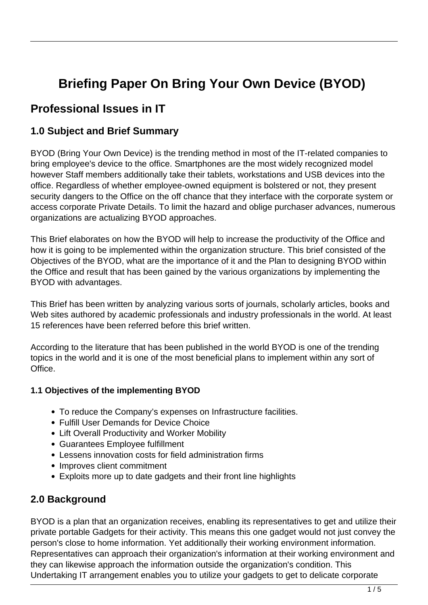# **Briefing Paper On Bring Your Own Device (BYOD)**

## **Professional Issues in IT**

### **1.0 Subject and Brief Summary**

BYOD (Bring Your Own Device) is the trending method in most of the IT-related companies to bring employee's device to the office. Smartphones are the most widely recognized model however Staff members additionally take their tablets, workstations and USB devices into the office. Regardless of whether employee-owned equipment is bolstered or not, they present security dangers to the Office on the off chance that they interface with the corporate system or access corporate Private Details. To limit the hazard and oblige purchaser advances, numerous organizations are actualizing BYOD approaches.

This Brief elaborates on how the BYOD will help to increase the productivity of the Office and how it is going to be implemented within the organization structure. This brief consisted of the Objectives of the BYOD, what are the importance of it and the Plan to designing BYOD within the Office and result that has been gained by the various organizations by implementing the BYOD with advantages.

This Brief has been written by analyzing various sorts of journals, scholarly articles, books and Web sites authored by academic professionals and industry professionals in the world. At least 15 references have been referred before this brief written.

According to the literature that has been published in the world BYOD is one of the trending topics in the world and it is one of the most beneficial plans to implement within any sort of Office.

#### **1.1 Objectives of the implementing BYOD**

- To reduce the Company's expenses on Infrastructure facilities.
- Fulfill User Demands for Device Choice
- Lift Overall Productivity and Worker Mobility
- Guarantees Employee fulfillment
- Lessens innovation costs for field administration firms
- Improves client commitment
- Exploits more up to date gadgets and their front line highlights

## **2.0 Background**

BYOD is a plan that an organization receives, enabling its representatives to get and utilize their private portable Gadgets for their activity. This means this one gadget would not just convey the person's close to home information. Yet additionally their working environment information. Representatives can approach their organization's information at their working environment and they can likewise approach the information outside the organization's condition. This Undertaking IT arrangement enables you to utilize your gadgets to get to delicate corporate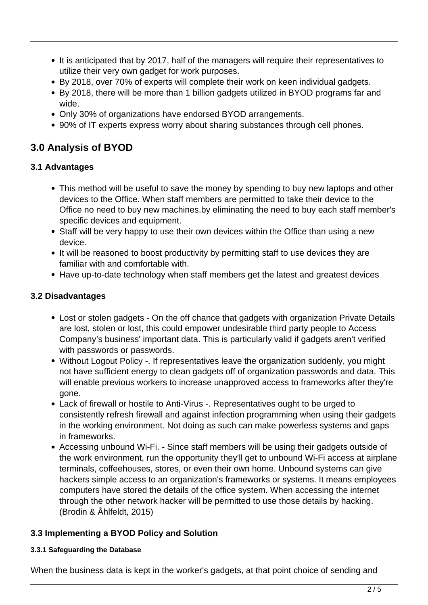- It is anticipated that by 2017, half of the managers will require their representatives to utilize their very own gadget for work purposes.
- By 2018, over 70% of experts will complete their work on keen individual gadgets.
- By 2018, there will be more than 1 billion gadgets utilized in BYOD programs far and wide.
- Only 30% of organizations have endorsed BYOD arrangements.
- 90% of IT experts express worry about sharing substances through cell phones.

## **3.0 Analysis of BYOD**

#### **3.1 Advantages**

- This method will be useful to save the money by spending to buy new laptops and other devices to the Office. When staff members are permitted to take their device to the Office no need to buy new machines.by eliminating the need to buy each staff member's specific devices and equipment.
- Staff will be very happy to use their own devices within the Office than using a new device.
- It will be reasoned to boost productivity by permitting staff to use devices they are familiar with and comfortable with.
- Have up-to-date technology when staff members get the latest and greatest devices

#### **3.2 Disadvantages**

- Lost or stolen gadgets On the off chance that gadgets with organization Private Details are lost, stolen or lost, this could empower undesirable third party people to Access Company's business' important data. This is particularly valid if gadgets aren't verified with passwords or passwords.
- Without Logout Policy -. If representatives leave the organization suddenly, you might not have sufficient energy to clean gadgets off of organization passwords and data. This will enable previous workers to increase unapproved access to frameworks after they're gone.
- Lack of firewall or hostile to Anti-Virus -. Representatives ought to be urged to consistently refresh firewall and against infection programming when using their gadgets in the working environment. Not doing as such can make powerless systems and gaps in frameworks.
- Accessing unbound Wi-Fi. Since staff members will be using their gadgets outside of the work environment, run the opportunity they'll get to unbound Wi-Fi access at airplane terminals, coffeehouses, stores, or even their own home. Unbound systems can give hackers simple access to an organization's frameworks or systems. It means employees computers have stored the details of the office system. When accessing the internet through the other network hacker will be permitted to use those details by hacking. (Brodin & Åhlfeldt, 2015)

#### **3.3 Implementing a BYOD Policy and Solution**

#### **3.3.1 Safeguarding the Database**

When the business data is kept in the worker's gadgets, at that point choice of sending and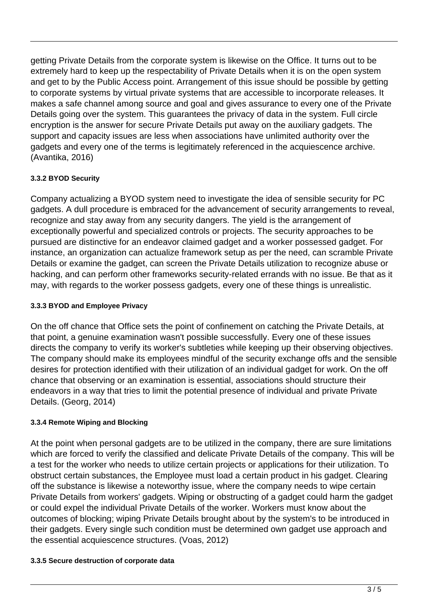getting Private Details from the corporate system is likewise on the Office. It turns out to be extremely hard to keep up the respectability of Private Details when it is on the open system and get to by the Public Access point. Arrangement of this issue should be possible by getting to corporate systems by virtual private systems that are accessible to incorporate releases. It makes a safe channel among source and goal and gives assurance to every one of the Private Details going over the system. This guarantees the privacy of data in the system. Full circle encryption is the answer for secure Private Details put away on the auxiliary gadgets. The support and capacity issues are less when associations have unlimited authority over the gadgets and every one of the terms is legitimately referenced in the acquiescence archive. (Avantika, 2016)

#### **3.3.2 BYOD Security**

Company actualizing a BYOD system need to investigate the idea of sensible security for PC gadgets. A dull procedure is embraced for the advancement of security arrangements to reveal, recognize and stay away from any security dangers. The yield is the arrangement of exceptionally powerful and specialized controls or projects. The security approaches to be pursued are distinctive for an endeavor claimed gadget and a worker possessed gadget. For instance, an organization can actualize framework setup as per the need, can scramble Private Details or examine the gadget, can screen the Private Details utilization to recognize abuse or hacking, and can perform other frameworks security-related errands with no issue. Be that as it may, with regards to the worker possess gadgets, every one of these things is unrealistic.

#### **3.3.3 BYOD and Employee Privacy**

On the off chance that Office sets the point of confinement on catching the Private Details, at that point, a genuine examination wasn't possible successfully. Every one of these issues directs the company to verify its worker's subtleties while keeping up their observing objectives. The company should make its employees mindful of the security exchange offs and the sensible desires for protection identified with their utilization of an individual gadget for work. On the off chance that observing or an examination is essential, associations should structure their endeavors in a way that tries to limit the potential presence of individual and private Private Details. (Georg, 2014)

#### **3.3.4 Remote Wiping and Blocking**

At the point when personal gadgets are to be utilized in the company, there are sure limitations which are forced to verify the classified and delicate Private Details of the company. This will be a test for the worker who needs to utilize certain projects or applications for their utilization. To obstruct certain substances, the Employee must load a certain product in his gadget. Clearing off the substance is likewise a noteworthy issue, where the company needs to wipe certain Private Details from workers' gadgets. Wiping or obstructing of a gadget could harm the gadget or could expel the individual Private Details of the worker. Workers must know about the outcomes of blocking; wiping Private Details brought about by the system's to be introduced in their gadgets. Every single such condition must be determined own gadget use approach and the essential acquiescence structures. (Voas, 2012)

#### **3.3.5 Secure destruction of corporate data**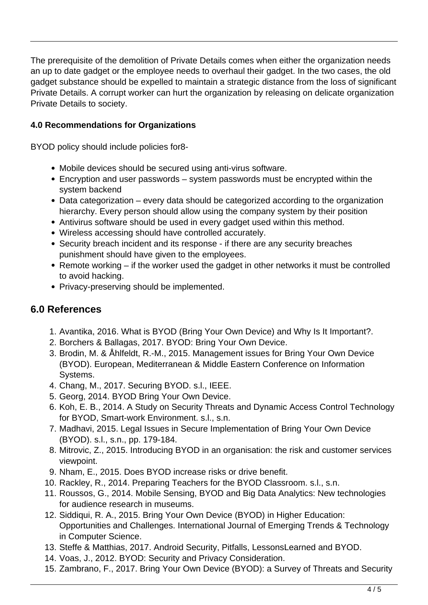The prerequisite of the demolition of Private Details comes when either the organization needs an up to date gadget or the employee needs to overhaul their gadget. In the two cases, the old gadget substance should be expelled to maintain a strategic distance from the loss of significant Private Details. A corrupt worker can hurt the organization by releasing on delicate organization Private Details to society.

#### **4.0 Recommendations for Organizations**

BYOD policy should include policies for8-

- Mobile devices should be secured using anti-virus software.
- Encryption and user passwords system passwords must be encrypted within the system backend
- Data categorization every data should be categorized according to the organization hierarchy. Every person should allow using the company system by their position
- Antivirus software should be used in every gadget used within this method.
- Wireless accessing should have controlled accurately.
- Security breach incident and its response if there are any security breaches punishment should have given to the employees.
- Remote working if the worker used the gadget in other networks it must be controlled to avoid hacking.
- Privacy-preserving should be implemented.

### **6.0 References**

- 1. Avantika, 2016. What is BYOD (Bring Your Own Device) and Why Is It Important?.
- 2. Borchers & Ballagas, 2017. BYOD: Bring Your Own Device.
- 3. Brodin, M. & Åhlfeldt, R.-M., 2015. Management issues for Bring Your Own Device (BYOD). European, Mediterranean & Middle Eastern Conference on Information Systems.
- 4. Chang, M., 2017. Securing BYOD. s.l., IEEE.
- 5. Georg, 2014. BYOD Bring Your Own Device.
- 6. Koh, E. B., 2014. A Study on Security Threats and Dynamic Access Control Technology for BYOD, Smart-work Environment. s.l., s.n.
- 7. Madhavi, 2015. Legal Issues in Secure Implementation of Bring Your Own Device (BYOD). s.l., s.n., pp. 179-184.
- 8. Mitrovic, Z., 2015. Introducing BYOD in an organisation: the risk and customer services viewpoint.
- 9. Nham, E., 2015. Does BYOD increase risks or drive benefit.
- 10. Rackley, R., 2014. Preparing Teachers for the BYOD Classroom. s.l., s.n.
- 11. Roussos, G., 2014. Mobile Sensing, BYOD and Big Data Analytics: New technologies for audience research in museums.
- 12. Siddiqui, R. A., 2015. Bring Your Own Device (BYOD) in Higher Education: Opportunities and Challenges. International Journal of Emerging Trends & Technology in Computer Science.
- 13. Steffe & Matthias, 2017. Android Security, Pitfalls, LessonsLearned and BYOD.
- 14. Voas, J., 2012. BYOD: Security and Privacy Consideration.
- 15. Zambrano, F., 2017. Bring Your Own Device (BYOD): a Survey of Threats and Security